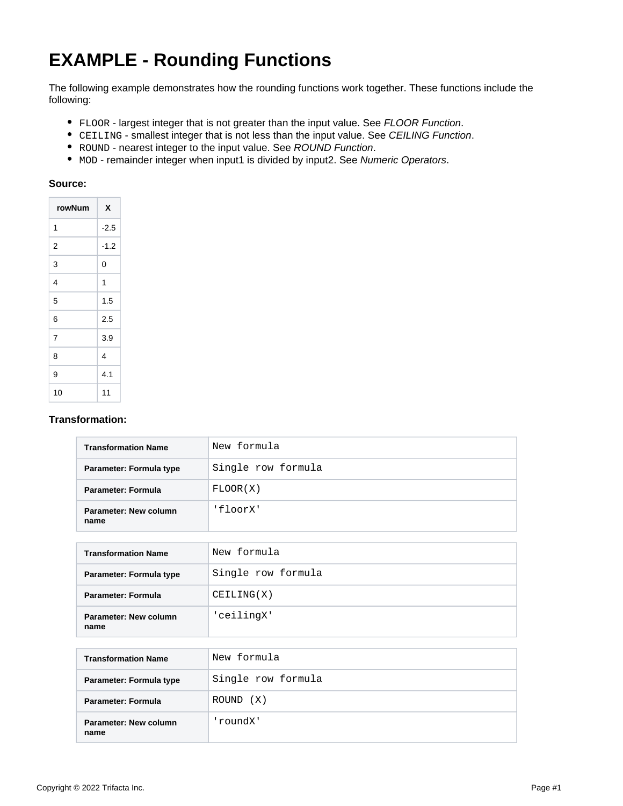## **EXAMPLE - Rounding Functions**

The following example demonstrates how the rounding functions work together. These functions include the following:

- FLOOR largest integer that is not greater than the input value. See [FLOOR Function](https://docs.trifacta.com/display/r082/FLOOR+Function).
- CEILING smallest integer that is not less than the input value. See [CEILING Function](https://docs.trifacta.com/display/r082/CEILING+Function).
- ROUND nearest integer to the input value. See [ROUND Function](https://docs.trifacta.com/display/r082/ROUND+Function).
- MOD remainder integer when input1 is divided by input2. See [Numeric Operators](https://docs.trifacta.com/display/r082/Numeric+Operators).

## **Source:**

| rowNum | x      |
|--------|--------|
| 1      | $-2.5$ |
| 2      | $-1.2$ |
| 3      | 0      |
| 4      | 1      |
| 5      | 1.5    |
| 6      | 2.5    |
| 7      | 3.9    |
| 8      | 4      |
| 9      | 4.1    |
| 10     | 11     |

## **Transformation:**

| <b>Transformation Name</b>    | New formula        |  |  |  |  |
|-------------------------------|--------------------|--|--|--|--|
| Parameter: Formula type       | Single row formula |  |  |  |  |
| <b>Parameter: Formula</b>     | FLOOR(X)           |  |  |  |  |
| Parameter: New column<br>name | 'floorX'           |  |  |  |  |
|                               |                    |  |  |  |  |
| <b>Transformation Name</b>    | New formula        |  |  |  |  |
| Parameter: Formula type       | Single row formula |  |  |  |  |
| <b>Parameter: Formula</b>     | CELLING(X)         |  |  |  |  |
| Parameter: New column<br>name | 'ceilingX'         |  |  |  |  |
|                               |                    |  |  |  |  |
| <b>Transformation Name</b>    | New formula        |  |  |  |  |
| Parameter: Formula type       | Single row formula |  |  |  |  |
| <b>Parameter: Formula</b>     | ROUND (X)          |  |  |  |  |
| Parameter: New column<br>name | 'roundX'           |  |  |  |  |